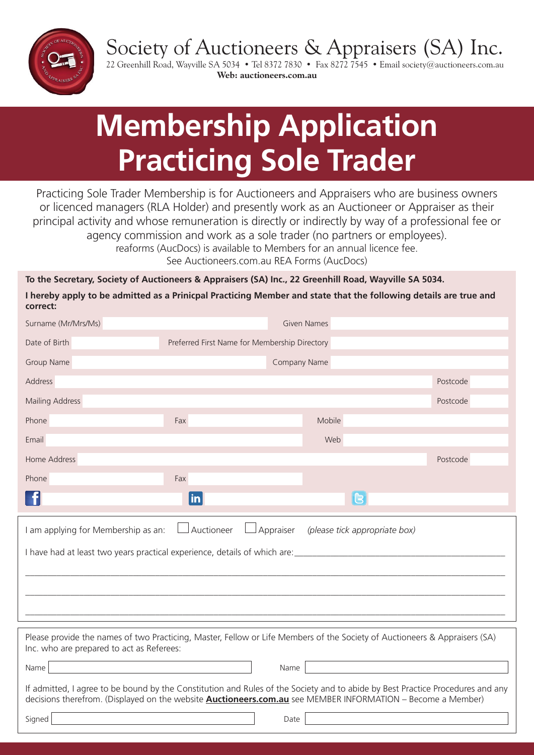Society of Auctioneers & Appraisers (SA) Inc.



22 Greenhill Road, Wayville SA 5034 • Tel 8372 7830 • Fax 8272 7545 • Email society@auctioneers.com.au **Web: auctioneers.com.au**

# **Membership Application Practicing Sole Trader**

Practicing Sole Trader Membership is for Auctioneers and Appraisers who are business owners or licenced managers (RLA Holder) and presently work as an Auctioneer or Appraiser as their principal activity and whose remuneration is directly or indirectly by way of a professional fee or agency commission and work as a sole trader (no partners or employees). reaforms (AucDocs) is available to Members for an annual licence fee. See Auctioneers.com.au REA Forms (AucDocs)

**To the Secretary, Society of Auctioneers & Appraisers (SA) Inc., 22 Greenhill Road, Wayville SA 5034.**

**I hereby apply to be admitted as a Prinicpal Practicing Member and state that the following details are true and correct:**

| Surname (Mr/Mrs/Ms)                                                                                                                                                                                                                                  | <b>Given Names</b>                            |          |          |  |  |  |  |
|------------------------------------------------------------------------------------------------------------------------------------------------------------------------------------------------------------------------------------------------------|-----------------------------------------------|----------|----------|--|--|--|--|
| Date of Birth                                                                                                                                                                                                                                        | Preferred First Name for Membership Directory |          |          |  |  |  |  |
| Group Name                                                                                                                                                                                                                                           | Company Name                                  |          |          |  |  |  |  |
| Address                                                                                                                                                                                                                                              |                                               |          | Postcode |  |  |  |  |
| <b>Mailing Address</b>                                                                                                                                                                                                                               |                                               |          | Postcode |  |  |  |  |
| Phone                                                                                                                                                                                                                                                | Fax                                           | Mobile   |          |  |  |  |  |
| Email                                                                                                                                                                                                                                                |                                               | Web      |          |  |  |  |  |
| Home Address                                                                                                                                                                                                                                         |                                               |          | Postcode |  |  |  |  |
| Phone                                                                                                                                                                                                                                                | Fax                                           |          |          |  |  |  |  |
| f                                                                                                                                                                                                                                                    | $\overline{\mathsf{in}}$                      | <b>B</b> |          |  |  |  |  |
| $\Box$ Auctioneer<br>Appraiser<br>I am applying for Membership as an:<br>(please tick appropriate box)                                                                                                                                               |                                               |          |          |  |  |  |  |
|                                                                                                                                                                                                                                                      |                                               |          |          |  |  |  |  |
|                                                                                                                                                                                                                                                      |                                               |          |          |  |  |  |  |
| Please provide the names of two Practicing, Master, Fellow or Life Members of the Society of Auctioneers & Appraisers (SA)<br>Inc. who are prepared to act as Referees:                                                                              |                                               |          |          |  |  |  |  |
| Name                                                                                                                                                                                                                                                 |                                               | Name     |          |  |  |  |  |
| If admitted, I agree to be bound by the Constitution and Rules of the Society and to abide by Best Practice Procedures and any<br>decisions therefrom. (Displayed on the website <b>Auctioneers.com.au</b> see MEMBER INFORMATION - Become a Member) |                                               |          |          |  |  |  |  |